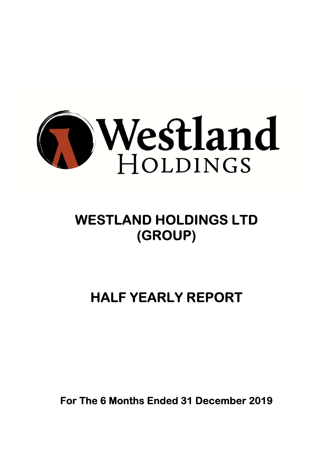

# WESTLAND HOLDINGS LTD (GROUP)

# HALF YEARLY REPORT

For The 6 Months Ended 31 December 2019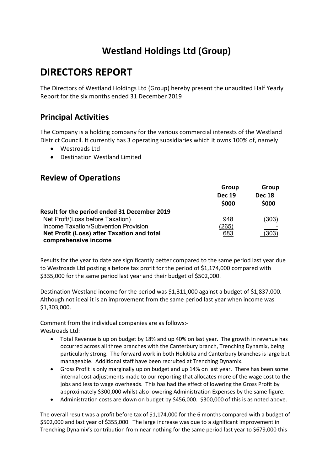# DIRECTORS REPORT

The Directors of Westland Holdings Ltd (Group) hereby present the unaudited Half Yearly Report for the six months ended 31 December 2019

### Principal Activities

The Company is a holding company for the various commercial interests of the Westland District Council. It currently has 3 operating subsidiaries which it owns 100% of, namely

- Westroads Ltd
- Destination Westland Limited

#### Review of Operations

| Group                  | Group                  |  |
|------------------------|------------------------|--|
| <b>Dec 19</b><br>\$000 | <b>Dec 18</b><br>\$000 |  |
|                        |                        |  |
| 948                    | (303)                  |  |
| <u>(265)</u>           |                        |  |
| 683                    | (303)                  |  |
|                        |                        |  |

Results for the year to date are significantly better compared to the same period last year due to Westroads Ltd posting a before tax profit for the period of \$1,174,000 compared with \$335,000 for the same period last year and their budget of \$502,000.

Destination Westland income for the period was \$1,311,000 against a budget of \$1,837,000. Although not ideal it is an improvement from the same period last year when income was \$1,303,000.

Comment from the individual companies are as follows:- Westroads Ltd:

- Total Revenue is up on budget by 18% and up 40% on last year. The growth in revenue has occurred across all three branches with the Canterbury branch, Trenching Dynamix, being particularly strong. The forward work in both Hokitika and Canterbury branches is large but manageable. Additional staff have been recruited at Trenching Dynamix.
- Gross Profit is only marginally up on budget and up 14% on last year. There has been some internal cost adjustments made to our reporting that allocates more of the wage cost to the jobs and less to wage overheads. This has had the effect of lowering the Gross Profit by approximately \$300,000 whilst also lowering Administration Expenses by the same figure.
- Administration costs are down on budget by \$456,000. \$300,000 of this is as noted above.

The overall result was a profit before tax of \$1,174,000 for the 6 months compared with a budget of \$502,000 and last year of \$355,000. The large increase was due to a significant improvement in Trenching Dynamix's contribution from near nothing for the same period last year to \$679,000 this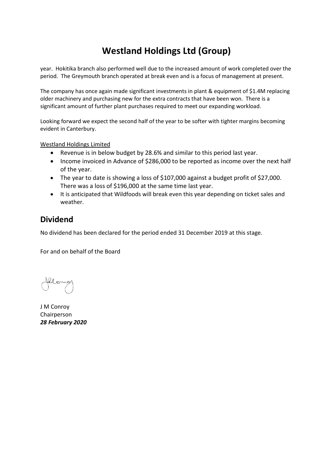year. Hokitika branch also performed well due to the increased amount of work completed over the period. The Greymouth branch operated at break even and is a focus of management at present.

The company has once again made significant investments in plant & equipment of \$1.4M replacing older machinery and purchasing new for the extra contracts that have been won. There is a significant amount of further plant purchases required to meet our expanding workload.

Looking forward we expect the second half of the year to be softer with tighter margins becoming evident in Canterbury.

Westland Holdings Limited

- Revenue is in below budget by 28.6% and similar to this period last year.
- Income invoiced in Advance of \$286,000 to be reported as income over the next half of the year.
- The year to date is showing a loss of \$107,000 against a budget profit of \$27,000. There was a loss of \$196,000 at the same time last year.
- It is anticipated that Wildfoods will break even this year depending on ticket sales and weather.

### Dividend

No dividend has been declared for the period ended 31 December 2019 at this stage.

For and on behalf of the Board

J M Conroy Chairperson 28 February 2020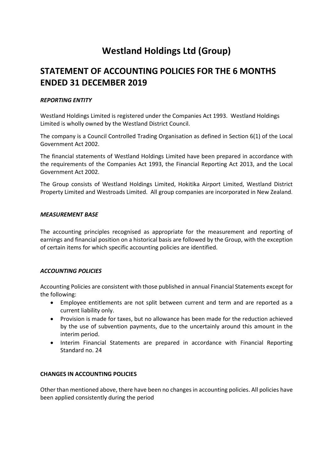### STATEMENT OF ACCOUNTING POLICIES FOR THE 6 MONTHS ENDED 31 DECEMBER 2019

#### REPORTING ENTITY

Westland Holdings Limited is registered under the Companies Act 1993. Westland Holdings Limited is wholly owned by the Westland District Council.

The company is a Council Controlled Trading Organisation as defined in Section 6(1) of the Local Government Act 2002.

The financial statements of Westland Holdings Limited have been prepared in accordance with the requirements of the Companies Act 1993, the Financial Reporting Act 2013, and the Local Government Act 2002.

The Group consists of Westland Holdings Limited, Hokitika Airport Limited, Westland District Property Limited and Westroads Limited. All group companies are incorporated in New Zealand.

#### MEASUREMENT BASE

The accounting principles recognised as appropriate for the measurement and reporting of earnings and financial position on a historical basis are followed by the Group, with the exception of certain items for which specific accounting policies are identified.

#### ACCOUNTING POLICIES

Accounting Policies are consistent with those published in annual Financial Statements except for the following:

- Employee entitlements are not split between current and term and are reported as a current liability only.
- Provision is made for taxes, but no allowance has been made for the reduction achieved by the use of subvention payments, due to the uncertainly around this amount in the interim period.
- Interim Financial Statements are prepared in accordance with Financial Reporting Standard no. 24

#### CHANGES IN ACCOUNTING POLICIES

Other than mentioned above, there have been no changes in accounting policies. All policies have been applied consistently during the period